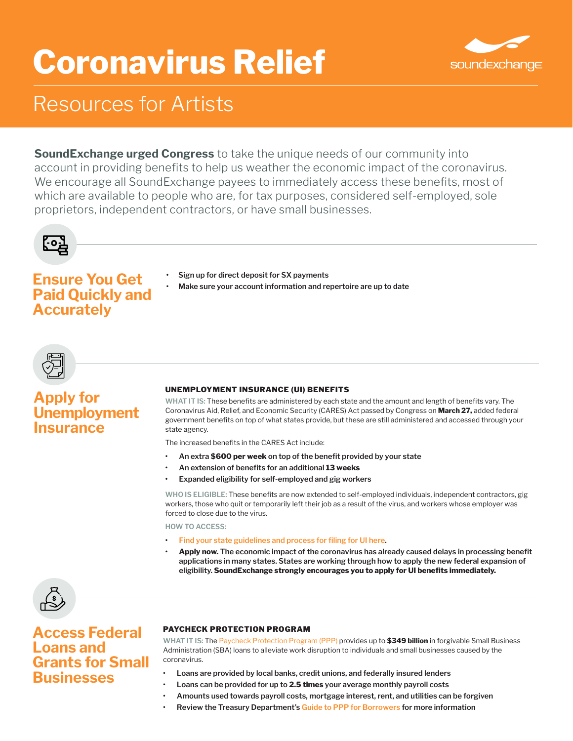# **Coronavirus Relief**



## Resources for Artists

**SoundExchange urged Congress** to take the unique needs of our community into account in providing benefits to help us weather the economic impact of the coronavirus. We encourage all SoundExchange payees to immediately access these benefits, most of which are available to people who are, for tax purposes, considered self-employed, sole proprietors, independent contractors, or have small businesses.



## **Ensure You Get Paid Quickly and Accurately**

- **• Sign up for direct deposit for SX payments**
- **• Make sure your account information and repertoire are up to date**



## **Apply for Unemployment Insurance**

#### UNEMPLOYMENT INSURANCE (UI) BENEFITS

**WHAT IT IS:** These benefits are administered by each state and the amount and length of benefits vary. The Coronavirus Aid, Relief, and Economic Security (CARES) Act passed by Congress on **March 27,** added federal government benefits on top of what states provide, but these are still administered and accessed through your state agency.

The increased benefits in the CARES Act include:

- **An extra \$600 per week on top of the benefit provided by your state**
- **• An extension of benefits for an additional 13 weeks**
- **Expanded eligibility for self-employed and gig workers**

**WHO IS ELIGIBLE:** These benefits are now extended to self-employed individuals, independent contractors, gig workers, those who quit or temporarily left their job as a result of the virus, and workers whose employer was forced to close due to the virus.

**HOW TO ACCESS:**

- **• [Find your state guidelines and process for filing for UI here](https://www.careeronestop.org/LocalHelp/UnemploymentBenefits/find-unemployment-benefits.aspx?newsearch=true).**
- **• Apply now. The economic impact of the coronavirus has already caused delays in processing benefit applications in many states. States are working through how to apply the new federal expansion of eligibility. SoundExchange strongly encourages you to apply for UI benefits immediately.**



## **Access Federal Loans and Grants for Small Businesses**

#### PAYCHECK PROTECTION PROGRAM

**WHAT IT IS:** The [Paycheck Protection Program \(PPP\) p](https://www.sba.gov/funding-programs/loans/coronavirus-relief-options/paycheck-protection-program-ppp#section-header-4)rovides up to **\$349 billion** in forgivable Small Business Administration (SBA) loans to alleviate work disruption to individuals and small businesses caused by the coronavirus.

- **Loans are provided by local banks, credit unions, and federally insured lenders**
- **Loans can be provided for up to 2.5 times your average monthly payroll costs**
- **Amounts used towards payroll costs, mortgage interest, rent, and utilities can be forgiven**
- **Review the Treasury Department's [Guide to PPP for Borrowers](https://home.treasury.gov/system/files/136/PPP--Fact-Sheet.pdf) for more information**